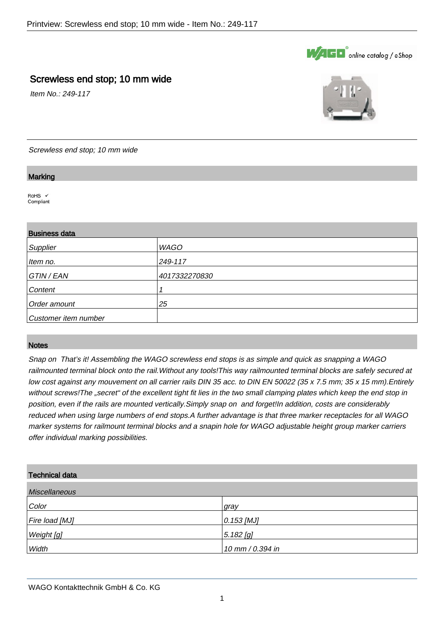

## Screwless end stop; 10 mm wide

Item No.: 249-117



Screwless end stop; 10 mm wide

#### **Marking**

.

.

 $ROHS \tV$ Compliant

# Business data Supplier WAGO **Item no.** 249-117 GTIN / EAN 4017332270830 Content 1 Order amount 25 Customer item number

#### **Notes**

.

Snap on That's it! Assembling the WAGO screwless end stops is as simple and quick as snapping a WAGO railmounted terminal block onto the rail.Without any tools!This way railmounted terminal blocks are safely secured at low cost against any mouvement on all carrier rails DIN 35 acc. to DIN EN 50022 (35 x 7.5 mm; 35 x 15 mm). Entirely without screws! The "secret" of the excellent tight fit lies in the two small clamping plates which keep the end stop in position, even if the rails are mounted vertically.Simply snap on and forget!In addition, costs are considerably reduced when using large numbers of end stops.A further advantage is that three marker receptacles for all WAGO marker systems for railmount terminal blocks and a snapin hole for WAGO adjustable height group marker carriers offer individual marking possibilities.

#### Technical data

| <b>Miscellaneous</b> |                    |
|----------------------|--------------------|
| Color                | gray               |
| Fire load [MJ]       | $\vert$ 0.153 [MJ] |
| Weight [g]           | $5.182$ [g]        |
| Width                | 10 mm / 0.394 in   |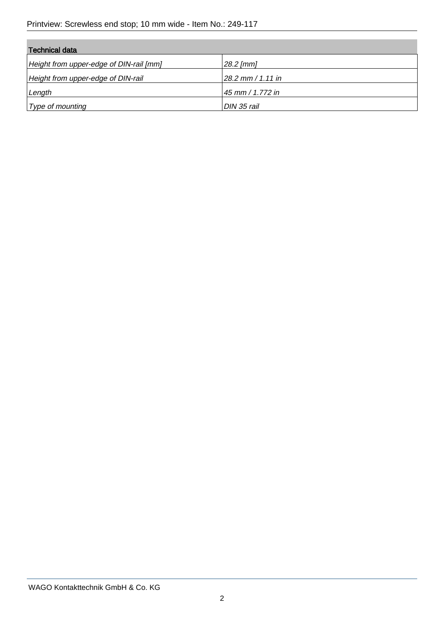| Technical data                          |                     |
|-----------------------------------------|---------------------|
| Height from upper-edge of DIN-rail [mm] | $28.2$ [mm]         |
| Height from upper-edge of DIN-rail      | $28.2$ mm / 1.11 in |
| Length                                  | 45 mm / 1.772 in    |
| Type of mounting                        | DIN 35 rail         |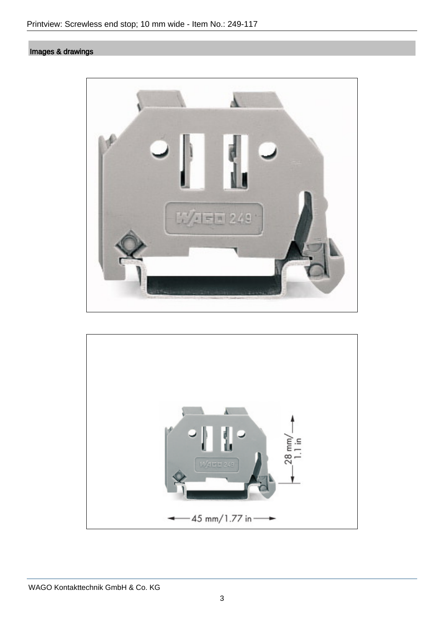## Images & drawings